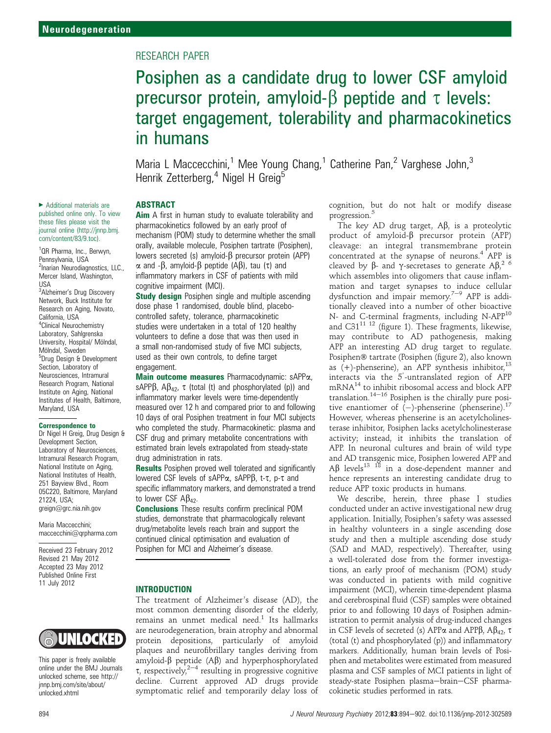# RESEARCH PAPER

# Posiphen as a candidate drug to lower CSF amyloid precursor protein, amyloid- $\beta$  peptide and  $\tau$  levels: target engagement, tolerability and pharmacokinetics in humans

Maria L Maccecchini,<sup>1</sup> Mee Young Chang,<sup>1</sup> Catherine Pan,<sup>2</sup> Varghese John,<sup>3</sup> Henrik Zetterberg,<sup>4</sup> Nigel H Greig<sup>5</sup>

# ABSTRACT

Aim A first in human study to evaluate tolerability and pharmacokinetics followed by an early proof of mechanism (POM) study to determine whether the small orally, available molecule, Posiphen tartrate (Posiphen), lowers secreted (s) amyloid- $\beta$  precursor protein (APP)  $\alpha$  and - $\beta$ , amyloid- $\beta$  peptide (A $\beta$ ), tau ( $\tau$ ) and inflammatory markers in CSF of patients with mild cognitive impairment (MCI).

**Study design** Posiphen single and multiple ascending dose phase 1 randomised, double blind, placebocontrolled safety, tolerance, pharmacokinetic studies were undertaken in a total of 120 healthy volunteers to define a dose that was then used in a small non-randomised study of five MCI subjects, used as their own controls, to define target engagement.

Main outcome measures Pharmacodynamic: sAPPa, sAPP $\beta$ , A $\beta_{42}$ ,  $\tau$  (total (t) and phosphorylated (p)) and inflammatory marker levels were time-dependently measured over 12 h and compared prior to and following 10 days of oral Posiphen treatment in four MCI subjects who completed the study. Pharmacokinetic: plasma and CSF drug and primary metabolite concentrations with estimated brain levels extrapolated from steady-state drug administration in rats.

**Results** Posiphen proved well tolerated and significantly lowered CSF levels of sAPP $\alpha$ , sAPP $\beta$ , t- $\tau$ , p- $\tau$  and specific inflammatory markers, and demonstrated a trend to lower CSF  $\mathsf{A}\beta_{42}$ .

Conclusions These results confirm preclinical POM studies, demonstrate that pharmacologically relevant drug/metabolite levels reach brain and support the continued clinical optimisation and evaluation of Posiphen for MCI and Alzheimer's disease.

#### INTRODUCTION

The treatment of Alzheimer's disease (AD), the most common dementing disorder of the elderly, remains an unmet medical need.<sup>1</sup> Its hallmarks are neurodegeneration, brain atrophy and abnormal protein depositions, particularly of amyloid plaques and neurofibrillary tangles deriving from amyloid- $\beta$  peptide (A $\beta$ ) and hyperphosphorylated  $\tau$ , respectively,<sup>2-4</sup> resulting in progressive cognitive decline. Current approved AD drugs provide symptomatic relief and temporarily delay loss of

cognition, but do not halt or modify disease progression.<sup>5</sup>

The key AD drug target,  $\mathbf{A}\mathbf{\beta}$ , is a proteolytic product of amyloid- $\beta$  precursor protein (APP) cleavage: an integral transmembrane protein concentrated at the synapse of neurons.<sup>4</sup> APP is cleaved by  $\beta$ - and  $\gamma$ -secretases to generate  $\beta \beta$ ,  $\beta$ <sup>2</sup> 6 (which assembles into oligomers that cause inflamwhich assembles into oligomers that cause inflammation and target synapses to induce cellular dysfunction and impair memory.<sup>7-9</sup> APP is additionally cleaved into a number of other bioactive N- and C-terminal fragments, including N-APP<sup>10</sup> and C31 $^{11}$  <sup>12</sup> (figure 1). These fragments, likewise, may contribute to AD pathogenesis, making APP an interesting AD drug target to regulate. Posiphen® tartrate (Posiphen (figure 2), also known as  $(+)$ -phenserine), an APP synthesis inhibitor,<sup>13</sup> interacts via the  $5'$ -untranslated region of APP mRNA<sup>14</sup> to inhibit ribosomal access and block APP translation. $14-16$  Posiphen is the chirally pure positive enantiomer of  $(-)$ -phenserine (phenserine).<sup>17</sup> However, whereas phenserine is an acetylcholinesterase inhibitor, Posiphen lacks acetylcholinesterase activity; instead, it inhibits the translation of APP. In neuronal cultures and brain of wild type and AD transgenic mice, Posiphen lowered APP and  $\mathsf{A}\mathsf{B}$  levels<sup>13</sup> <sup>18</sup> in a dose-dependent manner and hence represents an interesting candidate drug to reduce APP toxic products in humans.

We describe, herein, three phase I studies conducted under an active investigational new drug application. Initially, Posiphen's safety was assessed in healthy volunteers in a single ascending dose study and then a multiple ascending dose study (SAD and MAD, respectively). Thereafter, using a well-tolerated dose from the former investigations, an early proof of mechanism (POM) study was conducted in patients with mild cognitive impairment (MCI), wherein time-dependent plasma and cerebrospinal fluid (CSF) samples were obtained prior to and following 10 days of Posiphen administration to permit analysis of drug-induced changes in CSF levels of secreted (s) APP $\alpha$  and APP $\beta$ , A $\beta$ <sub>42</sub>,  $\tau$ (total (t) and phosphorylated (p)) and inflammatory markers. Additionally, human brain levels of Posiphen and metabolites were estimated from measured plasma and CSF samples of MCI patients in light of steady-state Posiphen plasma-brain-CSF pharmacokinetic studies performed in rats.

▶ Additional materials are published online only. To view these files please visit the journal online (http://jnnp.bmj. com/content/83/9.toc).

<sup>1</sup>QR Pharma, Inc., Berwyn, Pennsylvania, USA <sup>2</sup>Inarian Neurodiagnostics, LLC., Mercer Island, Washington, USA

<sup>3</sup>Alzheimer's Drug Discovery Network, Buck Institute for Research on Aging, Novato, California, USA 4 Clinical Neurochemistry Laboratory, Sahlgrenska University, Hospital/ Mölndal, Mölndal, Sweden <sup>5</sup>Drug Design & Development Section, Laboratory of Neurosciences, Intramural Research Program, National Institute on Aging, National Institutes of Health, Baltimore, Maryland, USA

#### Correspondence to

Dr Nigel H Greig, Drug Design & Development Section, Laboratory of Neurosciences, Intramural Research Program, National Institute on Aging, National Institutes of Health, 251 Bayview Blvd., Room 05C220, Baltimore, Maryland 21224, USA; greign@grc.nia.nih.gov

Maria Maccecchini; maccecchini@qrpharma.com

Received 23 February 2012 Revised 21 May 2012 Accepted 23 May 2012 Published Online First 11 July 2012

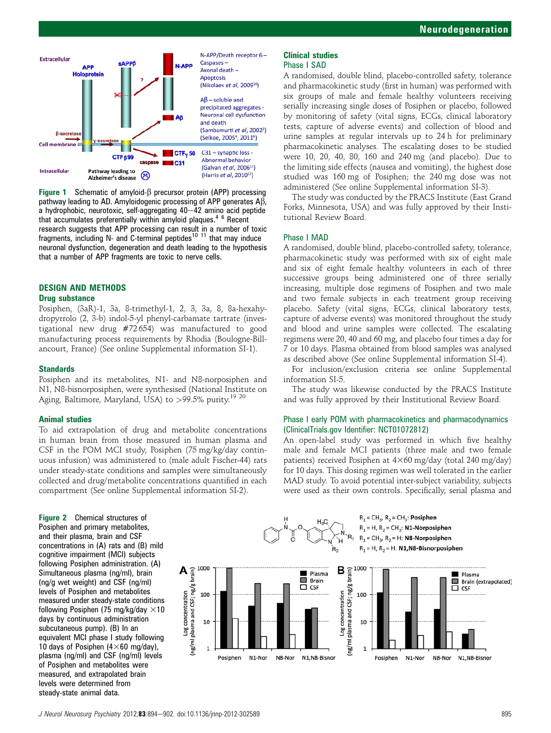

Figure 1 Schematic of amyloid- $\beta$  precursor protein (APP) processing pathway leading to AD. Amyloidogenic processing of APP generates  $A\overline{B}$ , a hydrophobic, neurotoxic, self-aggregating  $40-42$  amino acid peptide that accumulates preferentially within amyloid plaques.4 6 Recent research suggests that APP processing can result in a number of toxic fragments, including N- and C-terminal peptides<sup>10 11</sup> that may induce neuronal dysfunction, degeneration and death leading to the hypothesis that a number of APP fragments are toxic to nerve cells.

#### DESIGN AND METHODS Drug substance

Posiphen, (3aR)-1, 3a, 8-trimethyl-1, 2, 3, 3a, 8, 8a-hexahydropyrrolo (2, 3-b) indol-5-yl phenyl-carbamate tartrate (investigational new drug #72 654) was manufactured to good manufacturing process requirements by Rhodia (Boulogne-Billancourt, France) (See online Supplemental information SI-1).

#### **Standards**

Posiphen and its metabolites, N1- and N8-norposiphen and N1, N8-bisnorposiphen, were synthesised (National Institute on Aging, Baltimore, Maryland, USA) to >99.5% purity.<sup>19 20</sup>

# Animal studies

To aid extrapolation of drug and metabolite concentrations in human brain from those measured in human plasma and CSF in the POM MCI study, Posiphen (75 mg/kg/day continuous infusion) was administered to (male adult Fischer-44) rats under steady-state conditions and samples were simultaneously collected and drug/metabolite concentrations quantified in each compartment (See online Supplemental information SI-2).

Figure 2 Chemical structures of Posiphen and primary metabolites, and their plasma, brain and CSF concentrations in (A) rats and (B) mild cognitive impairment (MCI) subjects following Posiphen administration. (A) Simultaneous plasma (ng/ml), brain (ng/g wet weight) and CSF (ng/ml) levels of Posiphen and metabolites measured under steady-state conditions following Posiphen (75 mg/kg/day  $\times$ 10 days by continuous administration subcutaneous pump). (B) In an equivalent MCI phase I study following 10 days of Posiphen  $(4\times60 \text{ mg/day})$ , plasma (ng/ml) and CSF (ng/ml) levels of Posiphen and metabolites were measured, and extrapolated brain levels were determined from steady-state animal data.

#### Clinical studies Phase I SAD

A randomised, double blind, placebo-controlled safety, tolerance and pharmacokinetic study (first in human) was performed with six groups of male and female healthy volunteers receiving serially increasing single doses of Posiphen or placebo, followed by monitoring of safety (vital signs, ECGs, clinical laboratory tests, capture of adverse events) and collection of blood and urine samples at regular intervals up to 24 h for preliminary pharmacokinetic analyses. The escalating doses to be studied were 10, 20, 40, 80, 160 and 240 mg (and placebo). Due to the limiting side effects (nausea and vomiting), the highest dose studied was 160 mg of Posiphen; the 240 mg dose was not administered (See online Supplemental information SI-3).

The study was conducted by the PRACS Institute (East Grand Forks, Minnesota, USA) and was fully approved by their Institutional Review Board.

# Phase I MAD

A randomised, double blind, placebo-controlled safety, tolerance, pharmacokinetic study was performed with six of eight male and six of eight female healthy volunteers in each of three successive groups being administered one of three serially increasing, multiple dose regimens of Posiphen and two male and two female subjects in each treatment group receiving placebo. Safety (vital signs, ECGs, clinical laboratory tests, capture of adverse events) was monitored throughout the study and blood and urine samples were collected. The escalating regimens were 20, 40 and 60 mg, and placebo four times a day for 7 or 10 days. Plasma obtained from blood samples was analysed as described above (See online Supplemental information SI-4).

For inclusion/exclusion criteria see online Supplemental information SI-5.

The study was likewise conducted by the PRACS Institute and was fully approved by their Institutional Review Board.

# Phase I early POM with pharmacokinetics and pharmacodynamics (ClinicalTrials.gov Identifier: NCT01072812)

An open-label study was performed in which five healthy male and female MCI patients (three male and two female patients) received Posiphen at  $4\times60$  mg/day (total 240 mg/day) for 10 days. This dosing regimen was well tolerated in the earlier MAD study. To avoid potential inter-subject variability, subjects were used as their own controls. Specifically, serial plasma and



J Neurol Neurosurg Psychiatry 2012;83:894-902. doi:10.1136/jnnp-2012-302589 895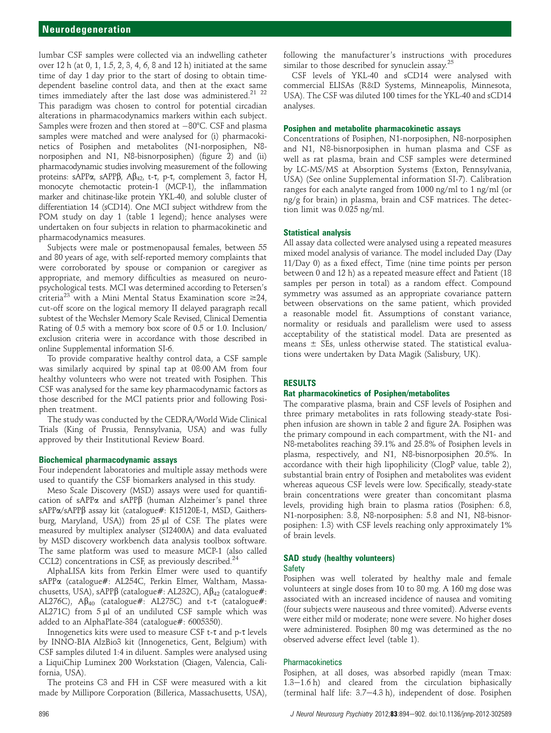lumbar CSF samples were collected via an indwelling catheter over 12 h (at 0, 1, 1.5, 2, 3, 4, 6, 8 and 12 h) initiated at the same time of day 1 day prior to the start of dosing to obtain timedependent baseline control data, and then at the exact same times immediately after the last dose was administered.<sup>21</sup> <sup>22</sup> This paradigm was chosen to control for potential circadian alterations in pharmacodynamics markers within each subject. Samples were frozen and then stored at  $-80^{\circ}$ C. CSF and plasma samples were matched and were analysed for (i) pharmacokinetics of Posiphen and metabolites (N1-norposiphen, N8 norposiphen and N1, N8-bisnorposiphen) (figure 2) and (ii) pharmacodynamic studies involving measurement of the following proteins: sAPP $\alpha$ , sAPP $\beta$ , A $\beta$ <sub>42</sub>, t- $\tau$ , p- $\tau$ , complement 3, factor H, monocyte chemotactic protein-1 (MCP-1), the inflammation marker and chitinase-like protein YKL-40, and soluble cluster of differentiation 14 (sCD14). One MCI subject withdrew from the POM study on day 1 (table 1 legend); hence analyses were undertaken on four subjects in relation to pharmacokinetic and pharmacodynamics measures.

Subjects were male or postmenopausal females, between 55 and 80 years of age, with self-reported memory complaints that were corroborated by spouse or companion or caregiver as appropriate, and memory difficulties as measured on neuropsychological tests. MCI was determined according to Petersen's criteria<sup>23</sup> with a Mini Mental Status Examination score  $\geq 24$ , cut-off score on the logical memory II delayed paragraph recall subtest of the Wechsler Memory Scale Revised, Clinical Dementia Rating of 0.5 with a memory box score of 0.5 or 1.0. Inclusion/ exclusion criteria were in accordance with those described in online Supplemental information SI-6.

To provide comparative healthy control data, a CSF sample was similarly acquired by spinal tap at 08:00 AM from four healthy volunteers who were not treated with Posiphen. This CSF was analysed for the same key pharmacodynamic factors as those described for the MCI patients prior and following Posiphen treatment.

The study was conducted by the CEDRA/World Wide Clinical Trials (King of Prussia, Pennsylvania, USA) and was fully approved by their Institutional Review Board.

#### Biochemical pharmacodynamic assays

Four independent laboratories and multiple assay methods were used to quantify the CSF biomarkers analysed in this study.

Meso Scale Discovery (MSD) assays were used for quantification of sAPP $\alpha$  and sAPP $\beta$  (human Alzheimer's panel three sAPPa/sAPPß assay kit (catalogue#: K15120E-1, MSD, Gaithersburg, Maryland, USA)) from  $25 \mu l$  of CSF. The plates were measured by multiplex analyser (SI2400A) and data evaluated by MSD discovery workbench data analysis toolbox software. The same platform was used to measure MCP-1 (also called CCL2) concentrations in CSF, as previously described.<sup>24</sup>

AlphaLISA kits from Perkin Elmer were used to quantify sAPPa (catalogue#: AL254C, Perkin Elmer, Waltham, Massachusetts, USA), sAPPβ (catalogue#: AL232C), Aβ<sub>42</sub> (catalogue#: AL276C),  $\mathsf{AB}_{40}$  (catalogue#: AL275C) and t- $\tau$  (catalogue#: AL271C) from  $5 \mu l$  of an undiluted CSF sample which was added to an AlphaPlate-384 (catalogue#: 6005350).

Innogenetics kits were used to measure CSF  $t$ - $\tau$  and  $p$ - $\tau$  levels by INNO-BIA AlzBio3 kit (Innogenetics, Gent, Belgium) with CSF samples diluted 1:4 in diluent. Samples were analysed using a LiquiChip Luminex 200 Workstation (Qiagen, Valencia, California, USA).

The proteins C3 and FH in CSF were measured with a kit made by Millipore Corporation (Billerica, Massachusetts, USA),

following the manufacturer's instructions with procedures similar to those described for synuclein assay.<sup>25</sup>

CSF levels of YKL-40 and sCD14 were analysed with commercial ELISAs (R&D Systems, Minneapolis, Minnesota, USA). The CSF was diluted 100 times for the YKL-40 and sCD14 analyses.

### Posiphen and metabolite pharmacokinetic assays

Concentrations of Posiphen, N1-norposiphen, N8-norposiphen and N1, N8-bisnorposiphen in human plasma and CSF as well as rat plasma, brain and CSF samples were determined by LC-MS/MS at Absorption Systems (Exton, Pennsylvania, USA) (See online Supplemental information SI-7). Calibration ranges for each analyte ranged from 1000 ng/ml to 1 ng/ml (or ng/g for brain) in plasma, brain and CSF matrices. The detection limit was 0.025 ng/ml.

# Statistical analysis

All assay data collected were analysed using a repeated measures mixed model analysis of variance. The model included Day (Day 11/Day 0) as a fixed effect, Time (nine time points per person between 0 and 12 h) as a repeated measure effect and Patient (18 samples per person in total) as a random effect. Compound symmetry was assumed as an appropriate covariance pattern between observations on the same patient, which provided a reasonable model fit. Assumptions of constant variance, normality or residuals and parallelism were used to assess acceptability of the statistical model. Data are presented as means  $\pm$  SEs, unless otherwise stated. The statistical evaluations were undertaken by Data Magik (Salisbury, UK).

#### RESULTS

#### Rat pharmacokinetics of Posiphen/metabolites

The comparative plasma, brain and CSF levels of Posiphen and three primary metabolites in rats following steady-state Posiphen infusion are shown in table 2 and figure 2A. Posiphen was the primary compound in each compartment, with the N1- and N8-metabolites reaching 39.1% and 25.8% of Posiphen levels in plasma, respectively, and N1, N8-bisnorposiphen 20.5%. In accordance with their high lipophilicity (ClogP value, table 2), substantial brain entry of Posiphen and metabolites was evident whereas aqueous CSF levels were low. Specifically, steady-state brain concentrations were greater than concomitant plasma levels, providing high brain to plasma ratios (Posiphen: 6.8, N1-norposiphen: 3.8, N8-norposiphen: 5.8 and N1, N8-bisnorposiphen: 1.3) with CSF levels reaching only approximately 1% of brain levels.

# SAD study (healthy volunteers) Safety

Posiphen was well tolerated by healthy male and female volunteers at single doses from 10 to 80 mg. A 160 mg dose was associated with an increased incidence of nausea and vomiting (four subjects were nauseous and three vomited). Adverse events were either mild or moderate; none were severe. No higher doses were administered. Posiphen 80 mg was determined as the no observed adverse effect level (table 1).

# **Pharmacokinetics**

Posiphen, at all doses, was absorbed rapidly (mean Tmax:  $1.3-1.6$  h) and cleared from the circulation biphasically (terminal half life:  $3.7-4.3$  h), independent of dose. Posiphen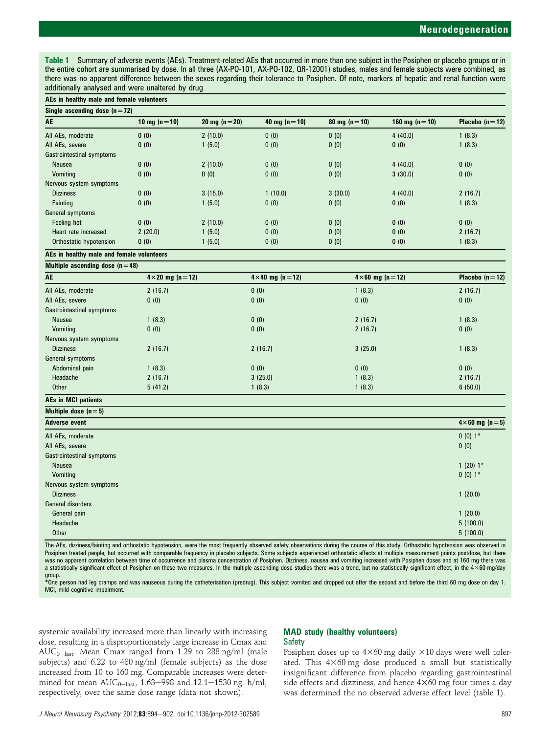Table 1 Summary of adverse events (AEs). Treatment-related AEs that occurred in more than one subject in the Posiphen or placebo groups or in the entire cohort are summarised by dose. In all three (AX-PO-101, AX-PO-102, QR-12001) studies, males and female subjects were combined, as there was no apparent difference between the sexes regarding their tolerance to Posiphen. Of note, markers of hepatic and renal function were additionally analysed and were unaltered by drug

| AEs in healthy male and female volunteers |                |                |                |                |                 |                  |  |
|-------------------------------------------|----------------|----------------|----------------|----------------|-----------------|------------------|--|
| Single ascending dose $(n=72)$            |                |                |                |                |                 |                  |  |
| AE                                        | 10 mg $(n=10)$ | 20 mg $(n=20)$ | 40 mg $(n=10)$ | 80 mg $(n=10)$ | 160 mg $(n=10)$ | Placebo $(n=12)$ |  |
| All AEs, moderate                         | 0(0)           | 2(10.0)        | 0(0)           | 0(0)           | 4(40.0)         | 1(8.3)           |  |
| All AEs, severe                           | 0(0)           | 1(5.0)         | 0(0)           | 0(0)           | 0(0)            | 1(8.3)           |  |
| Gastrointestinal symptoms                 |                |                |                |                |                 |                  |  |
| Nausea                                    | 0(0)           | 2(10.0)        | 0(0)           | 0(0)           | 4(40.0)         | 0(0)             |  |
| Vomitina                                  | 0(0)           | 0(0)           | 0(0)           | 0(0)           | 3(30.0)         | 0(0)             |  |
| Nervous system symptoms                   |                |                |                |                |                 |                  |  |
| <b>Dizziness</b>                          | 0(0)           | 3(15.0)        | 1(10.0)        | 3(30.0)        | 4(40.0)         | 2(16.7)          |  |
| Fainting                                  | 0(0)           | 1(5.0)         | 0(0)           | 0(0)           | 0(0)            | 1(8.3)           |  |
| General symptoms                          |                |                |                |                |                 |                  |  |
| Feeling hot                               | 0(0)           | 2(10.0)        | 0(0)           | 0(0)           | 0(0)            | 0(0)             |  |
| Heart rate increased                      | 2(20.0)        | 1(5.0)         | 0(0)           | 0(0)           | 0(0)            | 2(16.7)          |  |
| Orthostatic hypotension                   | 0(0)           | 1(5.0)         | 0(0)           | 0(0)           | 0(0)            | 1(8.3)           |  |

AEs in healthy male and female volunteers

| Multiple ascending dose $(n=48)$ |                           |                           |                           |                         |
|----------------------------------|---------------------------|---------------------------|---------------------------|-------------------------|
| AE                               | $4 \times 20$ mg (n = 12) | $4 \times 40$ mg (n = 12) | $4 \times 60$ mg (n = 12) | Placebo $(n=12)$        |
| All AEs, moderate                | 2(16.7)                   | 0(0)                      | 1(8.3)                    | 2(16.7)                 |
| All AEs, severe                  | 0(0)                      | 0(0)                      | 0(0)                      | 0(0)                    |
| Gastrointestinal symptoms        |                           |                           |                           |                         |
| Nausea                           | 1(8.3)                    | 0(0)                      | 2(16.7)                   | 1(8.3)                  |
| Vomiting                         | 0(0)                      | 0(0)                      | 2(16.7)                   | 0(0)                    |
| Nervous system symptoms          |                           |                           |                           |                         |
| <b>Dizziness</b>                 | 2(16.7)                   | 2(16.7)                   | 3(25.0)                   | 1(8.3)                  |
| General symptoms                 |                           |                           |                           |                         |
| Abdominal pain                   | 1(8.3)                    | 0(0)                      | 0(0)                      | 0(0)                    |
| Headache                         | 2(16.7)                   | 3(25.0)                   | 1(8.3)                    | 2(16.7)                 |
| <b>Other</b>                     | 5(41.2)                   | 1(8.3)                    | 1(8.3)                    | 6(50.0)                 |
| <b>AEs in MCI patients</b>       |                           |                           |                           |                         |
| Multiple dose $(n=5)$            |                           |                           |                           |                         |
| <b>Adverse event</b>             |                           |                           |                           | $4\times 60$ mg (n = 5) |
| All AEs, moderate                |                           |                           |                           | $0(0)1*$                |
| All AEs, severe                  |                           |                           |                           | 0(0)                    |
| Gastrointestinal symptoms        |                           |                           |                           |                         |
| Nausea                           |                           |                           |                           | $1(20)1*$               |
| Vomiting                         |                           |                           |                           | $0(0)1*$                |
| Nervous system symptoms          |                           |                           |                           |                         |
| <b>Dizziness</b>                 |                           |                           |                           | 1(20.0)                 |
| <b>General disorders</b>         |                           |                           |                           |                         |
| General pain                     |                           |                           |                           | 1(20.0)                 |
| Headache                         |                           |                           |                           | 5(100.0)                |
| <b>Other</b>                     |                           |                           |                           | 5(100.0)                |

The AEs, dizziness/fainting and orthostatic hypotension, were the most frequently observed safety observations during the course of this study. Orthostatic hypotension was observed in Posiphen treated people, but occurred with comparable frequency in placebo subjects. Some subjects experienced orthostatic effects at multiple measurement points postdose, but there was no apparent correlation between time of occurrence and plasma concentration of Posiphen. Dizziness, nausea and vomiting increased with Posiphen doses and at 160 mg there was a statistically significant effect of Posiphen on these two measures. In the multiple ascending dose studies there was a trend, but no statistically significant effect, in the  $4\times60$  mg/day group.

\*One person had leg cramps and was nauseous during the catheterisation (predrug). This subject vomited and dropped out after the second and before the third 60 mg dose on day 1. MCI, mild cognitive impairment.

systemic availability increased more than linearly with increasing dose, resulting in a disproportionately large increase in Cmax and  $AUC_{0-last}$ . Mean Cmax ranged from 1.29 to 288 ng/ml (male subjects) and 6.22 to 480 ng/ml (female subjects) as the dose increased from 10 to 160 mg. Comparable increases were determined for mean  $\text{AUC}_{0-\text{last}}$ , 1.63-998 and 12.1-1530 ng. h/ml, respectively, over the same dose range (data not shown).

#### MAD study (healthy volunteers) Safety

Posiphen doses up to  $4\times60$  mg daily  $\times10$  days were well tolerated. This  $4\times60$  mg dose produced a small but statistically insignificant difference from placebo regarding gastrointestinal side effects and dizziness, and hence  $4\times60$  mg four times a day was determined the no observed adverse effect level (table 1).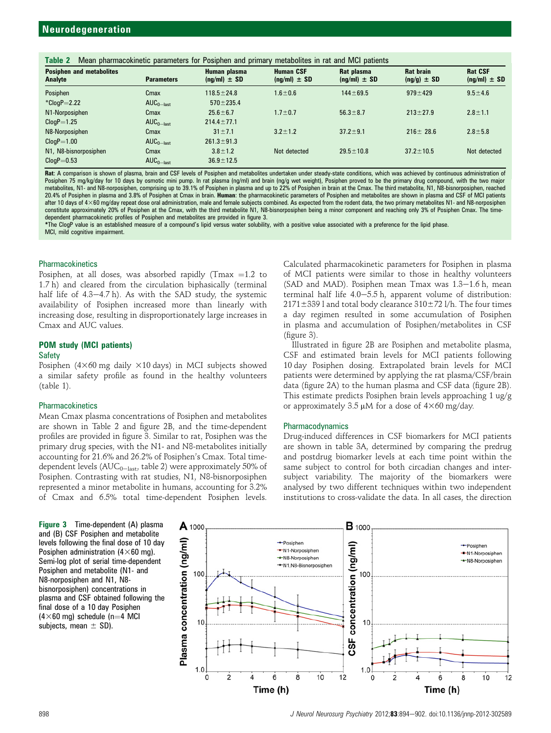| Mean pharmacokinetic parameters for Posiphen and primary metabolites in rat and MCI patients<br>Table 2 |                   |                                  |                                      |                                |                                     |                                    |  |
|---------------------------------------------------------------------------------------------------------|-------------------|----------------------------------|--------------------------------------|--------------------------------|-------------------------------------|------------------------------------|--|
| <b>Posiphen and metabolites</b><br>Analyte                                                              | <b>Parameters</b> | Human plasma<br>$(nq/ml) \pm SD$ | <b>Human CSF</b><br>$(nq/ml) \pm SD$ | Rat plasma<br>$(nq/ml) \pm SD$ | <b>Rat brain</b><br>$(nq/q) \pm SD$ | <b>Rat CSF</b><br>$(nq/ml) \pm SD$ |  |
| Posiphen                                                                                                | Cmax              | $118.5 \pm 24.8$                 | $1.6 \pm 0.6$                        | $144 \pm 69.5$                 | $979 \pm 429$                       | $9.5 \pm 4.6$                      |  |
| $*ClogP = 2.22$                                                                                         | $AUC_{0-last}$    | $570 \pm 235.4$                  |                                      |                                |                                     |                                    |  |
| N1-Norposiphen                                                                                          | Cmax              | $25.6 \pm 6.7$                   | $1.7 \pm 0.7$                        | $56.3 \pm 8.7$                 | $213 \pm 27.9$                      | $2.8 \pm 1.1$                      |  |
| $ClogP = 1.25$                                                                                          | $AUC_{0-last}$    | $214.4 \pm 77.1$                 |                                      |                                |                                     |                                    |  |
| N8-Norposiphen                                                                                          | Cmax              | $31 \pm 7.1$                     | $3.2 \pm 1.2$                        | $37.2 \pm 9.1$                 | $216 \pm 28.6$                      | $2.8 \pm 5.8$                      |  |
| $ClogP = 1.00$                                                                                          | $AUC_{0-last}$    | $261.3 \pm 91.3$                 |                                      |                                |                                     |                                    |  |
| N1, N8-bisnorposiphen                                                                                   | Cmax              | $3.8 \pm 1.2$                    | Not detected                         | $29.5 \pm 10.8$                | $37.2 \pm 10.5$                     | Not detected                       |  |
| $C$ log $P = 0.53$                                                                                      | $AUC_{0-last}$    | $36.9 \pm 12.5$                  |                                      |                                |                                     |                                    |  |

Rat: A comparison is shown of plasma, brain and CSF levels of Posiphen and metabolites undertaken under steady-state conditions, which was achieved by continuous administration of Posiphen 75 mg/kg/day for 10 days by osmotic mini pump. In rat plasma (ng/ml) and brain (ng/g wet weight), Posiphen proved to be the primary drug compound, with the two major metabolites, N1- and N8-norposiphen, comprising up to 39.1% of Posiphen in plasma and up to 22% of Posiphen in brain at the Cmax. The third metabolite, N1, N8-bisnorposiphen, reached 20.4% of Posiphen in plasma and 3.8% of Posiphen at Cmax in brain. Human: the pharmacokinetic parameters of Posiphen and metabolites are shown in plasma and CSF of MCI patients after 10 days of 4×60 mg/day repeat dose oral administration, male and female subjects combined. As expected from the rodent data, the two primary metabolites N1- and N8-norposiphen constitute approximately 20% of Posiphen at the Cmax, with the third metabolite N1, N8-bisnorposiphen being a minor component and reaching only 3% of Posiphen Cmax. The timedependent pharmacokinetic profiles of Posiphen and metabolites are provided in figure 3.

\*The ClogP value is an established measure of a compound's lipid versus water solubility, with a positive value associated with a preference for the lipid phase. MCI, mild cognitive impairment.

### **Pharmacokinetics**

Posiphen, at all doses, was absorbed rapidly (Tmax = 1.2 to 1.7 h) and cleared from the circulation biphasically (terminal half life of  $4.3-4.7$  h). As with the SAD study, the systemic availability of Posiphen increased more than linearly with increasing dose, resulting in disproportionately large increases in Cmax and AUC values.

# POM study (MCI patients)

#### **Safety**

Posiphen  $(4\times60 \text{ mg daily} \times 10 \text{ days})$  in MCI subjects showed a similar safety profile as found in the healthy volunteers (table 1).

#### **Pharmacokinetics**

Mean Cmax plasma concentrations of Posiphen and metabolites are shown in Table 2 and figure 2B, and the time-dependent profiles are provided in figure 3. Similar to rat, Posiphen was the primary drug species, with the N1- and N8-metabolites initially accounting for 21.6% and 26.2% of Posiphen's Cmax. Total timedependent levels ( $AUC_{0-{\rm last}}$ , table 2) were approximately 50% of Posiphen. Contrasting with rat studies, N1, N8-bisnorposiphen represented a minor metabolite in humans, accounting for 3.2% of Cmax and 6.5% total time-dependent Posiphen levels.

Figure 3 Time-dependent (A) plasma and (B) CSF Posiphen and metabolite levels following the final dose of 10 day Posiphen administration  $(4\times60 \text{ mg})$ . Semi-log plot of serial time-dependent Posiphen and metabolite (N1- and N8-norposiphen and N1, N8 bisnorposiphen) concentrations in plasma and CSF obtained following the final dose of a 10 day Posiphen  $(4\times60$  mg) schedule (n=4 MCI subjects, mean  $\pm$  SD).

Calculated pharmacokinetic parameters for Posiphen in plasma of MCI patients were similar to those in healthy volunteers (SAD and MAD). Posiphen mean  $T$ max was  $1.3-1.6$  h, mean terminal half life  $4.0-5.5$  h, apparent volume of distribution:  $2171\pm339$  l and total body clearance  $310\pm72$  l/h. The four times a day regimen resulted in some accumulation of Posiphen in plasma and accumulation of Posiphen/metabolites in CSF (figure 3).

Illustrated in figure 2B are Posiphen and metabolite plasma, CSF and estimated brain levels for MCI patients following 10 day Posiphen dosing. Extrapolated brain levels for MCI patients were determined by applying the rat plasma/CSF/brain data (figure 2A) to the human plasma and CSF data (figure 2B). This estimate predicts Posiphen brain levels approaching 1 ug/g or approximately 3.5  $\mu$ M for a dose of 4×60 mg/day.

#### Pharmacodynamics

Drug-induced differences in CSF biomarkers for MCI patients are shown in table 3A, determined by comparing the predrug and postdrug biomarker levels at each time point within the same subject to control for both circadian changes and intersubject variability. The majority of the biomarkers were analysed by two different techniques within two independent institutions to cross-validate the data. In all cases, the direction

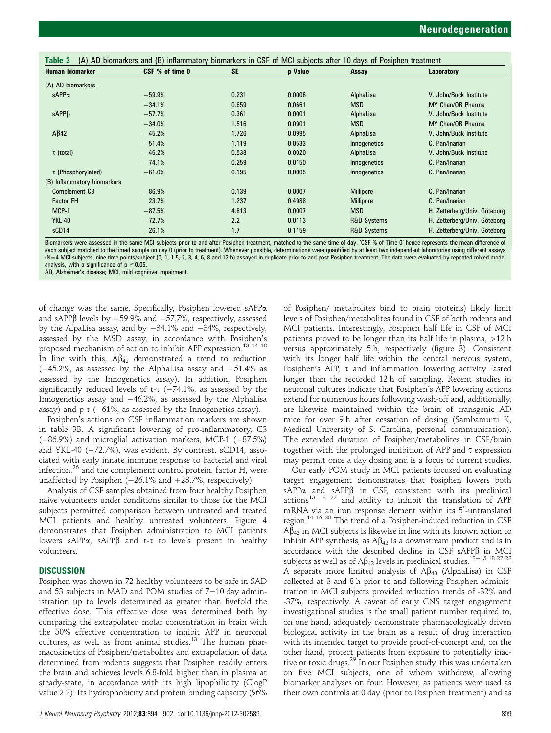| <b>Human biomarker</b>      | CSF % of time 0 | <b>SE</b> | p Value | Assay                  | Laboratory                   |
|-----------------------------|-----------------|-----------|---------|------------------------|------------------------------|
| (A) AD biomarkers           |                 |           |         |                        |                              |
| $sAPP\alpha$                | $-59.9%$        | 0.231     | 0.0006  | AlphaLisa              | V. John/Buck Institute       |
|                             | $-34.1%$        | 0.659     | 0.0661  | <b>MSD</b>             | MY Chan/QR Pharma            |
| $sAPP\beta$                 | $-57.7%$        | 0.361     | 0.0001  | AlphaLisa              | V. John/Buck Institute       |
|                             | $-34.0%$        | 1.516     | 0.0901  | <b>MSD</b>             | MY Chan/QR Pharma            |
| $A\beta42$                  | $-45.2%$        | 1.726     | 0.0995  | AlphaLisa              | V. John/Buck Institute       |
|                             | $-51.4%$        | 1.119     | 0.0533  | Innogenetics           | C. Pan/Inarian               |
| $\tau$ (total)              | $-46.2%$        | 0.538     | 0.0020  | AlphaLisa              | V. John/Buck Institute       |
|                             | $-74.1%$        | 0.259     | 0.0150  | Innogenetics           | C. Pan/Inarian               |
| $\tau$ (Phosphorylated)     | $-61.0%$        | 0.195     | 0.0005  | Innogenetics           | C. Pan/Inarian               |
| (B) Inflammatory biomarkers |                 |           |         |                        |                              |
| Complement C <sub>3</sub>   | $-86.9%$        | 0.139     | 0.0007  | <b>Millipore</b>       | C. Pan/Inarian               |
| <b>Factor FH</b>            | 23.7%           | 1.237     | 0.4988  | <b>Millipore</b>       | C. Pan/Inarian               |
| MCP-1                       | $-87.5%$        | 4.813     | 0.0007  | <b>MSD</b>             | H. Zetterberg/Univ. Göteborg |
| <b>YKL-40</b>               | $-72.7%$        | 2.2       | 0.0113  | <b>R&amp;D Systems</b> | H. Zetterberg/Univ. Göteborg |
| sCD14                       | $-26.1%$        | 1.7       | 0.1159  | <b>R&amp;D Systems</b> | H. Zetterberg/Univ. Göteborg |

Biomarkers were assessed in the same MCI subjects prior to and after Posiphen treatment, matched to the same time of day. 'CSF % of Time 0' hence represents the mean difference of each subject matched to the timed sample on day 0 (prior to treatment). Whenever possible, determinations were quantified by at least two independent laboratories using different assays<br>(N=4 MCl subjects, nine time points/ analysis, with a significance of  $p \le 0.05$ .

AD, Alzheimer's disease; MCI, mild cognitive impairment.

of change was the same. Specifically, Posiphen lowered sAPPa and sAPP $\beta$  levels by  $-59.9\%$  and  $-57.7\%$ , respectively, assessed by the AlpaLisa assay, and by  $-34.1\%$  and  $-34\%$ , respectively, assessed by the MSD assay, in accordance with Posiphen's proposed mechanism of action to inhibit APP expression.<sup>13</sup> <sup>14</sup> <sup>18</sup> In line with this,  $A\beta_{42}$  demonstrated a trend to reduction  $(-45.2\%$ , as assessed by the AlphaLisa assay and  $-51.4\%$  as assessed by the Innogenetics assay). In addition, Posiphen significantly reduced levels of t- $\tau$  (-74.1%, as assessed by the Innogenetics assay and  $-46.2\%$ , as assessed by the AlphaLisa assay) and  $p$ - $\tau$  (-61%, as assessed by the Innogenetics assay).

Posiphen's actions on CSF inflammation markers are shown in table 3B. A significant lowering of pro-inflammatory, C3  $(-86.9%)$  and microglial activation markers, MCP-1  $(-87.5%)$ and YKL-40 ( $-72.7\%$ ), was evident. By contrast, sCD14, associated with early innate immune response to bacterial and viral infection, $26$  and the complement control protein, factor H, were unaffected by Posiphen  $(-26.1\%$  and  $+23.7\%$ , respectively).

Analysis of CSF samples obtained from four healthy Posiphen naive volunteers under conditions similar to those for the MCI subjects permitted comparison between untreated and treated MCI patients and healthy untreated volunteers. Figure 4 demonstrates that Posiphen administration to MCI patients lowers sAPP $\alpha$ , sAPP $\beta$  and t- $\tau$  to levels present in healthy volunteers.

# **DISCUSSION**

Posiphen was shown in 72 healthy volunteers to be safe in SAD and 53 subjects in MAD and POM studies of  $7-10$  day administration up to levels determined as greater than fivefold the effective dose. This effective dose was determined both by comparing the extrapolated molar concentration in brain with the 50% effective concentration to inhibit APP in neuronal cultures, as well as from animal studies.<sup>13</sup> The human pharmacokinetics of Posiphen/metabolites and extrapolation of data determined from rodents suggests that Posiphen readily enters the brain and achieves levels 6.8-fold higher than in plasma at steady-state, in accordance with its high lipophilicity (ClogP value 2.2). Its hydrophobicity and protein binding capacity (96%

of Posiphen/ metabolites bind to brain proteins) likely limit levels of Posiphen/metabolites found in CSF of both rodents and MCI patients. Interestingly, Posiphen half life in CSF of MCI patients proved to be longer than its half life in plasma, >12 h versus approximately 5 h, respectively (figure 3). Consistent with its longer half life within the central nervous system, Posiphen's APP,  $\tau$  and inflammation lowering activity lasted longer than the recorded 12 h of sampling. Recent studies in neuronal cultures indicate that Posiphen's APP lowering actions extend for numerous hours following wash-off and, additionally, are likewise maintained within the brain of transgenic AD mice for over 9 h after cessation of dosing (Sambamurti K, Medical University of S. Carolina, personal communication). The extended duration of Posiphen/metabolites in CSF/brain together with the prolonged inhibition of APP and  $\tau$  expression may permit once a day dosing and is a focus of current studies.

Our early POM study in MCI patients focused on evaluating target engagement demonstrates that Posiphen lowers both sAPP $\alpha$  and sAPP $\beta$  in CSF, consistent with its preclinical sAPP $\alpha$  and sAPP $\beta$  in CSF, consistent with its preclinical actions<sup>13 18</sup> <sup>27</sup> and ability to inhibit the translation of APP mRNA via an iron response element within its 5'-untranslated region.<sup>14 16 28</sup> The trend of a Posiphen-induced reduction in CSF  $A\tilde{\beta}_{42}$  in MCI subjects is likewise in line with its known action to inhibit APP synthesis, as  $A\beta_{42}$  is a downstream product and is in accordance with the described decline in  $CSF$  sAPP $\beta$  in MCI subjects as well as of  $A\beta_{42}$  levels in preclinical studies.<sup>13–15</sup> <sup>18 27</sup> <sup>28</sup> A separate more limited analysis of  $A\beta_{40}$  (AlphaLisa) in CSF collected at 3 and 8 h prior to and following Posiphen administration in MCI subjects provided reduction trends of -32% and -37%, respectively. A caveat of early CNS target engagement investigational studies is the small patient number required to, on one hand, adequately demonstrate pharmacologically driven biological activity in the brain as a result of drug interaction with its intended target to provide proof-of-concept and, on the other hand, protect patients from exposure to potentially inactive or toxic drugs.<sup>29</sup> In our Posiphen study, this was undertaken on five MCI subjects, one of whom withdrew, allowing biomarker analyses on four. However, as patients were used as their own controls at 0 day (prior to Posiphen treatment) and as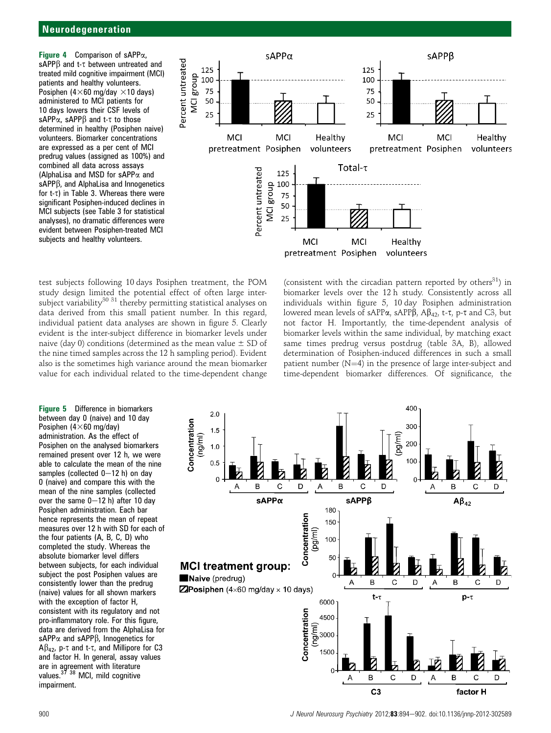**Figure 4** Comparison of sAPP $\alpha$ , sAPPB and t- $\tau$  between untreated and sAPPß and t-τ between untreated and<br>treated mild cognitive impairment (MCI) patients and healthy volunteers. Posiphen (4 $\times$ 60 mg/day  $\times$ 10 days) administered to MCI patients for 10 days lowers their CSF levels of sAPP $\alpha$ , sAPP $\beta$  and t- $\tau$  to those determined in healthy (Posiphen naive) volunteers. Biomarker concentrations are expressed as a per cent of MCI predrug values (assigned as 100%) and combined all data across assays (AlphaLisa and MSD for sAPP $\alpha$  and sAPP $\beta$ , and AlphaLisa and Innogenetics sAPPβ, and AlphaLisa and Innogenetics<br>for t-τ) in Table 3. Whereas there were significant Posiphen-induced declines in MCI subjects (see Table 3 for statistical analyses), no dramatic differences were evident between Posiphen-treated MCI subjects and healthy volunteers.



test subjects following 10 days Posiphen treatment, the POM study design limited the potential effect of often large intersubject variability<sup>30 31</sup> thereby permitting statistical analyses on data derived from this small patient number. In this regard, individual patient data analyses are shown in figure 5. Clearly evident is the inter-subject difference in biomarker levels under naive (day 0) conditions (determined as the mean value  $\pm$  SD of the nine timed samples across the 12 h sampling period). Evident also is the sometimes high variance around the mean biomarker value for each individual related to the time-dependent change

(consistent with the circadian pattern reported by others $^{31}$ ) in biomarker levels over the 12 h study. Consistently across all individuals within figure 5, 10 day Posiphen administration lowered mean levels of sAPPa, sAPPB, A $\beta_{42}$ , t-t, p-t and C3, but not factor H. Importantly, the time-dependent analysis of biomarker levels within the same individual, by matching exact same times predrug versus postdrug (table 3A, B), allowed determination of Posiphen-induced differences in such a small patient number  $(N=4)$  in the presence of large inter-subject and time-dependent biomarker differences. Of significance, the

Figure 5 Difference in biomarkers between day 0 (naive) and 10 day Posiphen  $(4\times60 \text{ mg/day})$ administration. As the effect of Posiphen on the analysed biomarkers remained present over 12 h, we were able to calculate the mean of the nine samples (collected  $0-12$  h) on day 0 (naive) and compare this with the mean of the nine samples (collected over the same  $0-12$  h) after 10 day Posiphen administration. Each bar hence represents the mean of repeat measures over 12 h with SD for each of the four patients (A, B, C, D) who completed the study. Whereas the absolute biomarker level differs between subjects, for each individual subject the post Posiphen values are consistently lower than the predrug (naive) values for all shown markers with the exception of factor H, consistent with its regulatory and not pro-inflammatory role. For this figure, data are derived from the AlphaLisa for sAPP $\alpha$  and sAPP $\beta$ , Innogenetics for  $A\beta_{42}$ , p- $\tau$  and t- $\tau$ , and Millipore for C3 and factor H. In general, assay values are in agreement with literature values.<sup>37 38</sup> MCI, mild cognitive impairment.

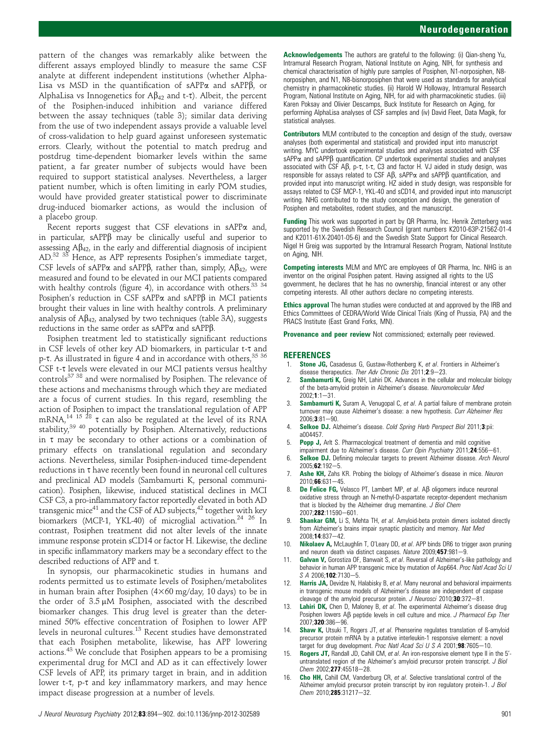pattern of the changes was remarkably alike between the different assays employed blindly to measure the same CSF analyte at different independent institutions (whether Alpha-Lisa vs MSD in the quantification of  $sAPP\alpha$  and  $sAPP\beta$ , or AlphaLisa vs Innogenetics for  $A\beta_{42}$  and t-t). Albeit, the percent of the Posiphen-induced inhibition and variance differed between the assay techniques (table 3); similar data deriving from the use of two independent assays provide a valuable level of cross-validation to help guard against unforeseen systematic errors. Clearly, without the potential to match predrug and postdrug time-dependent biomarker levels within the same patient, a far greater number of subjects would have been required to support statistical analyses. Nevertheless, a larger patient number, which is often limiting in early POM studies, would have provided greater statistical power to discriminate drug-induced biomarker actions, as would the inclusion of a placebo group.

Recent reports suggest that CSF elevations in sAPP $\alpha$  and, in particular,  $sAPP\beta$  may be clinically useful and superior to assessing  $A\beta_{42}$ , in the early and differential diagnosis of incipient AD.<sup>32 33</sup> Hence, as APP represents Posiphen's immediate target, CSF levels of sAPP $\alpha$  and sAPP $\beta$ , rather than, simply, A $\beta_{42}$ , were measured and found to be elevated in our MCI patients compared with healthy controls (figure 4), in accordance with others.<sup>33 34</sup> Posiphen's reduction in CSF sAPP $\alpha$  and sAPP $\beta$  in MCI patients brought their values in line with healthy controls. A preliminary analysis of  $A\beta_{42}$ , analysed by two techniques (table 3A), suggests reductions in the same order as  $sAPP\alpha$  and  $sAPP\beta$ .

Posiphen treatment led to statistically significant reductions in CSF levels of other key AD biomarkers, in particular t-t and p-t. As illustrated in figure 4 and in accordance with others.  $35\,36$ CSF t-t levels were elevated in our MCI patients versus healthy controls37 38 and were normalised by Posiphen. The relevance of these actions and mechanisms through which they are mediated are a focus of current studies. In this regard, resembling the action of Posiphen to impact the translational regulation of APP mRNA, $^{14}$   $^{15}$   $^{28}$   $\tau$  can also be regulated at the level of its RNA stability,<sup>39 40</sup> potentially by Posiphen. Alternatively, reductions in  $\tau$  may be secondary to other actions or a combination of primary effects on translational regulation and secondary actions. Nevertheless, similar Posiphen-induced time-dependent  $reductions$  in  $\tau$  have recently been found in neuronal cell cultures and preclinical AD models (Sambamurti K, personal communication). Posiphen, likewise, induced statistical declines in MCI CSF C3, a pro-inflammatory factor reportedly elevated in both AD transgenic mice<sup>41</sup> and the CSF of AD subjects,  $42$  together with key biomarkers (MCP-1, YKL-40) of microglial activation.<sup>24 26</sup> In contrast, Posiphen treatment did not alter levels of the innate immune response protein sCD14 or factor H. Likewise, the decline in specific inflammatory markers may be a secondary effect to the described reductions of APP and  $\tau$ .

In synopsis, our pharmacokinetic studies in humans and rodents permitted us to estimate levels of Posiphen/metabolites in human brain after Posiphen  $(4\times60~{\rm mg/day}, 10~{\rm days})$  to be in the order of  $3.5 \mu M$  Posiphen, associated with the described biomarker changes. This drug level is greater than the determined 50% effective concentration of Posiphen to lower APP levels in neuronal cultures.<sup>13</sup> Recent studies have demonstrated that each Posiphen metabolite, likewise, has APP lowering actions.<sup>43</sup> We conclude that Posiphen appears to be a promising experimental drug for MCI and AD as it can effectively lower CSF levels of APP, its primary target in brain, and in addition lower t-t, p-t and key inflammatory markers, and may hence impact disease progression at a number of levels.

Contributors MLM contributed to the conception and design of the study, oversaw analyses (both experimental and statistical) and provided input into manuscript writing. MYC undertook experimental studies and analyses associated with CSF  $sAPP\alpha$  and  $sAPP\beta$  quantification. CP undertook experimental studies and analyses associated with CSF A $\beta$ , p- $\tau$ , t- $\tau$ , C3 and factor H. VJ aided in study design, was responsible for assays related to CSF A $\beta$ , sAPP $\alpha$  and sAPP $\beta$  quantification, and provided input into manuscript writing. HZ aided in study design, was responsible for assays related to CSF MCP-1, YKL-40 and sCD14, and provided input into manuscript writing. NHG contributed to the study conception and design, the generation of Posiphen and metabolites, rodent studies, and the manuscript.

Funding This work was supported in part by QR Pharma, Inc. Henrik Zetterberg was supported by the Swedish Research Council (grant numbers K2010-63P-21562-01-4 and K2011-61X-20401-05-6) and the Swedish State Support for Clinical Research. Nigel H Greig was supported by the Intramural Research Program, National Institute on Aging, NIH.

Competing interests MLM and MYC are employees of QR Pharma, Inc. NHG is an inventor on the original Posiphen patent. Having assigned all rights to the US government, he declares that he has no ownership, financial interest or any other competing interests. All other authors declare no competing interests.

Ethics approval The human studies were conducted at and approved by the IRB and Ethics Committees of CEDRA/World Wide Clinical Trials (King of Prussia, PA) and the PRACS Institute (East Grand Forks, MN).

Provenance and peer review Not commissioned; externally peer reviewed.

#### **REFERENCES**

- 1. Stone JG, Casadesus G, Gustaw-Rothenberg K, et al. Frontiers in Alzheimer's disease therapeutics. Ther Adv Chronic Dis  $2011:2:9-23$ .
- Sambamurti K, Greig NH, Lahiri DK. Advances in the cellular and molecular biology of the beta-amyloid protein in Alzheimer's disease. Neuromolecular Med  $2002:1:1-31.$
- Sambamurti K, Suram A, Venugopal C, et al. A partial failure of membrane protein turnover may cause Alzheimer's disease: a new hypothesis. Curr Alzheimer Res  $2006:3:81-90.$
- 4. Selkoe DJ. Alzheimer's disease. Cold Spring Harb Perspect Biol 2011;3:pii: a004457.
- 5. Popp J, Arlt S. Pharmacological treatment of dementia and mild cognitive impairment due to Alzheimer's disease. Curr Opin Psychiatry 2011;24:556-61.
- 6. Selkoe DJ. Defining molecular targets to prevent Alzheimer disease. Arch Neurol 2005;62:192-5
- 7. **Ashe KH,** Zahs KR. Probing the biology of Alzheimer's disease in mice. Neuron  $2010;66:631-45.$
- 8. De Felice FG, Velasco PT, Lambert MP, et al.  $\mathsf{AB}$  oligomers induce neuronal oxidative stress through an N-methyl-D-aspartate receptor-dependent mechanism that is blocked by the Alzheimer drug memantine. J Biol Chem 2007:282:11590-601
- Shankar GM, Li S, Mehta TH, et al. Amyloid-beta protein dimers isolated directly from Alzheimer's brains impair synaptic plasticity and memory. Nat Med 2008:14:837-42.
- 10. Nikolaev A, McLaughlin T, O'Leary DD, et al. APP binds DR6 to trigger axon pruning and neuron death via distinct caspases. Nature 2009;457:981-9.
- 11. Galvan V, Gorostiza OF, Banwait S, et al. Reversal of Alzheimer's-like pathology and behavior in human APP transgenic mice by mutation of Asp664. Proc Natl Acad Sci U  $S$  A 2006:102:7130-5.
- 12. Harris JA, Devidze N, Halabisky B, et al. Many neuronal and behavioral impairments in transgenic mouse models of Alzheimer's disease are independent of caspase cleavage of the amyloid precursor protein. J Neurosci 2010;30:372-81.
- 13. Lahiri DK, Chen D, Maloney B, et al. The experimental Alzheimer's disease drug Posiphen lowers  $\Delta\beta$  peptide levels in cell culture and mice. J Pharmacol Exp Ther 2007;320:386-96.
- 14. Shaw K, Utsuki T, Rogers JT, et al. Phenserine regulates translation of ß-amyloid precursor protein mRNA by a putative interleukin-1 responsive element: a novel target for drug development. Proc Natl Acad Sci U S A 2001; 98:7605-10.
- 15. Rogers JT, Randall JD, Cahill CM, et al. An iron-responsive element type II in the 5'untranslated region of the Alzheimer's amyloid precursor protein transcript. J Biol Chem 2002;277:45518-28.
- 16. Cho HH, Cahill CM, Vanderburg CR, et al. Selective translational control of the Alzheimer amyloid precursor protein transcript by iron regulatory protein-1. J Biol  $Chem$  2010; 285:31217-32.